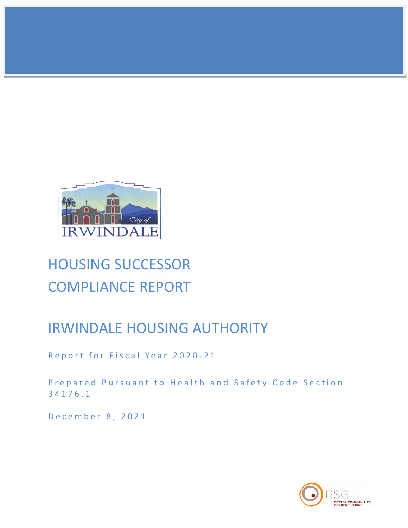

# HOUSING SUCCESSOR COMPLIANCE REPORT

# IRWINDALE HOUSING AUTHORITY

Report for Fiscal Year 2020-21

Prepared Pursuant to Health and Safety Code Section 34176.1

December 8, 2021

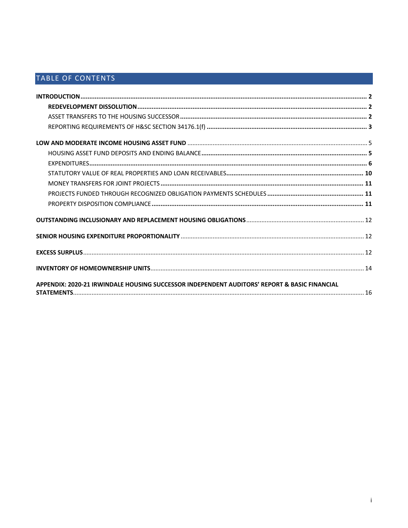# TABLE OF CONTENTS

| APPENDIX: 2020-21 IRWINDALE HOUSING SUCCESSOR INDEPENDENT AUDITORS' REPORT & BASIC FINANCIAL |  |
|----------------------------------------------------------------------------------------------|--|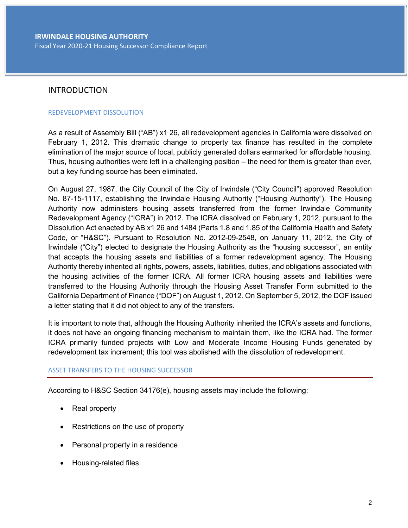# INTRODUCTION

### REDEVELOPMENT DISSOLUTION

As a result of Assembly Bill ("AB") x1 26, all redevelopment agencies in California were dissolved on February 1, 2012. This dramatic change to property tax finance has resulted in the complete elimination of the major source of local, publicly generated dollars earmarked for affordable housing. Thus, housing authorities were left in a challenging position – the need for them is greater than ever, but a key funding source has been eliminated.

On August 27, 1987, the City Council of the City of Irwindale ("City Council") approved Resolution No. 87-15-1117, establishing the Irwindale Housing Authority ("Housing Authority"). The Housing Authority now administers housing assets transferred from the former Irwindale Community Redevelopment Agency ("ICRA") in 2012. The ICRA dissolved on February 1, 2012, pursuant to the Dissolution Act enacted by AB x1 26 and 1484 (Parts 1.8 and 1.85 of the California Health and Safety Code, or "H&SC"). Pursuant to Resolution No. 2012-09-2548, on January 11, 2012, the City of Irwindale ("City") elected to designate the Housing Authority as the "housing successor", an entity that accepts the housing assets and liabilities of a former redevelopment agency. The Housing Authority thereby inherited all rights, powers, assets, liabilities, duties, and obligations associated with the housing activities of the former ICRA. All former ICRA housing assets and liabilities were transferred to the Housing Authority through the Housing Asset Transfer Form submitted to the California Department of Finance ("DOF") on August 1, 2012. On September 5, 2012, the DOF issued a letter stating that it did not object to any of the transfers.

It is important to note that, although the Housing Authority inherited the ICRA's assets and functions, it does not have an ongoing financing mechanism to maintain them, like the ICRA had. The former ICRA primarily funded projects with Low and Moderate Income Housing Funds generated by redevelopment tax increment; this tool was abolished with the dissolution of redevelopment.

### ASSET TRANSFERS TO THE HOUSING SUCCESSOR

According to H&SC Section 34176(e), housing assets may include the following:

- Real property
- Restrictions on the use of property
- Personal property in a residence
- Housing-related files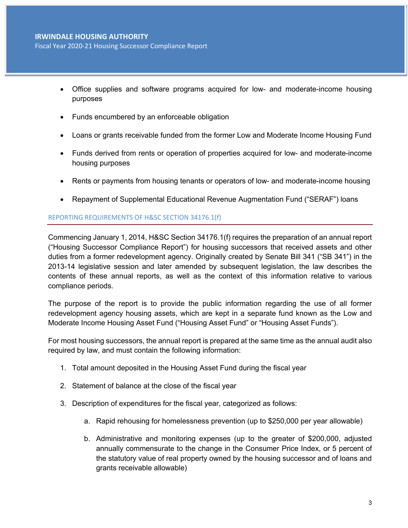Fiscal Year 2020-21 Housing Successor Compliance Report

- Office supplies and software programs acquired for low- and moderate-income housing purposes
- Funds encumbered by an enforceable obligation
- Loans or grants receivable funded from the former Low and Moderate Income Housing Fund
- Funds derived from rents or operation of properties acquired for low- and moderate-income housing purposes
- Rents or payments from housing tenants or operators of low- and moderate-income housing
- Repayment of Supplemental Educational Revenue Augmentation Fund ("SERAF") loans

### REPORTING REQUIREMENTS OF H&SC SECTION 34176.1(f)

Commencing January 1, 2014, H&SC Section 34176.1(f) requires the preparation of an annual report ("Housing Successor Compliance Report") for housing successors that received assets and other duties from a former redevelopment agency. Originally created by Senate Bill 341 ("SB 341") in the 2013-14 legislative session and later amended by subsequent legislation, the law describes the contents of these annual reports, as well as the context of this information relative to various compliance periods.

The purpose of the report is to provide the public information regarding the use of all former redevelopment agency housing assets, which are kept in a separate fund known as the Low and Moderate Income Housing Asset Fund ("Housing Asset Fund" or "Housing Asset Funds").

For most housing successors, the annual report is prepared at the same time as the annual audit also required by law, and must contain the following information:

- 1. Total amount deposited in the Housing Asset Fund during the fiscal year
- 2. Statement of balance at the close of the fiscal year
- 3. Description of expenditures for the fiscal year, categorized as follows:
	- a. Rapid rehousing for homelessness prevention (up to \$250,000 per year allowable)
	- b. Administrative and monitoring expenses (up to the greater of \$200,000, adjusted annually commensurate to the change in the Consumer Price Index, or 5 percent of the statutory value of real property owned by the housing successor and of loans and grants receivable allowable)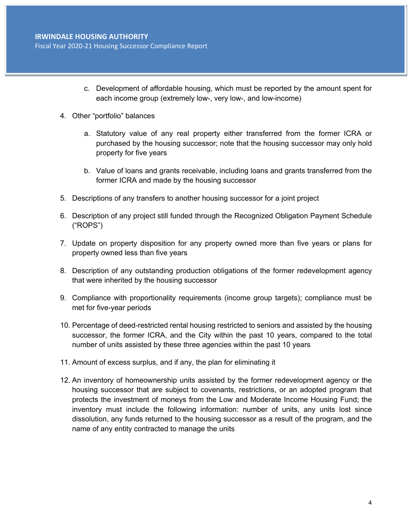Fiscal Year 2020-21 Housing Successor Compliance Report

- c. Development of affordable housing, which must be reported by the amount spent for each income group (extremely low-, very low-, and low-income)
- 4. Other "portfolio" balances
	- a. Statutory value of any real property either transferred from the former ICRA or purchased by the housing successor; note that the housing successor may only hold property for five years
	- b. Value of loans and grants receivable, including loans and grants transferred from the former ICRA and made by the housing successor
- 5. Descriptions of any transfers to another housing successor for a joint project
- 6. Description of any project still funded through the Recognized Obligation Payment Schedule ("ROPS")
- 7. Update on property disposition for any property owned more than five years or plans for property owned less than five years
- 8. Description of any outstanding production obligations of the former redevelopment agency that were inherited by the housing successor
- 9. Compliance with proportionality requirements (income group targets); compliance must be met for five-year periods
- 10. Percentage of deed-restricted rental housing restricted to seniors and assisted by the housing successor, the former ICRA, and the City within the past 10 years, compared to the total number of units assisted by these three agencies within the past 10 years
- 11. Amount of excess surplus, and if any, the plan for eliminating it
- 12. An inventory of homeownership units assisted by the former redevelopment agency or the housing successor that are subject to covenants, restrictions, or an adopted program that protects the investment of moneys from the Low and Moderate Income Housing Fund; the inventory must include the following information: number of units, any units lost since dissolution, any funds returned to the housing successor as a result of the program, and the name of any entity contracted to manage the units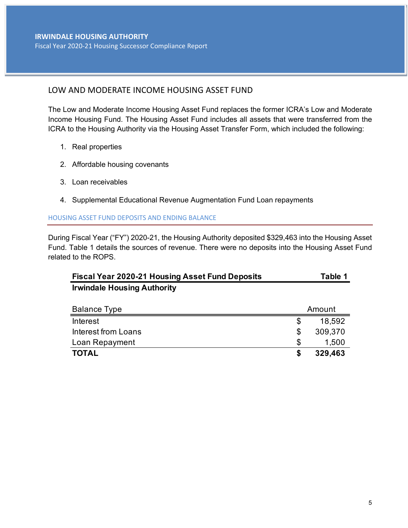# LOW AND MODERATE INCOME HOUSING ASSET FUND

The Low and Moderate Income Housing Asset Fund replaces the former ICRA's Low and Moderate Income Housing Fund. The Housing Asset Fund includes all assets that were transferred from the ICRA to the Housing Authority via the Housing Asset Transfer Form, which included the following:

- 1. Real properties
- 2. Affordable housing covenants
- 3. Loan receivables
- 4. Supplemental Educational Revenue Augmentation Fund Loan repayments

### HOUSING ASSET FUND DEPOSITS AND ENDING BALANCE

During Fiscal Year ("FY") 2020-21, the Housing Authority deposited \$329,463 into the Housing Asset Fund. Table 1 details the sources of revenue. There were no deposits into the Housing Asset Fund related to the ROPS.

| <b>Fiscal Year 2020-21 Housing Asset Fund Deposits</b> | Table 1 |
|--------------------------------------------------------|---------|
| <b>Irwindale Housing Authority</b>                     |         |

| <b>Balance Type</b> | Amount |         |  |
|---------------------|--------|---------|--|
| Interest            |        | 18,592  |  |
| Interest from Loans |        | 309,370 |  |
| Loan Repayment      |        | 1,500   |  |
| <b>TOTAL</b>        |        | 329,463 |  |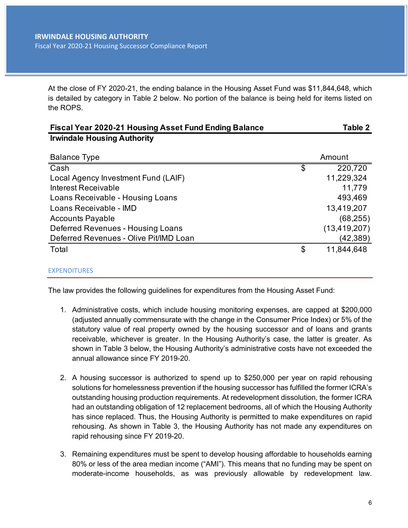At the close of FY 2020-21, the ending balance in the Housing Asset Fund was \$11,844,648, which is detailed by category in Table 2 below. No portion of the balance is being held for items listed on the ROPS.

| <b>Fiscal Year 2020-21 Housing Asset Fund Ending Balance</b> | Table 2          |
|--------------------------------------------------------------|------------------|
| <b>Irwindale Housing Authority</b>                           |                  |
|                                                              |                  |
| <b>Balance Type</b>                                          | Amount           |
| Cash                                                         | \$<br>220,720    |
| Local Agency Investment Fund (LAIF)                          | 11,229,324       |
| Interest Receivable                                          | 11,779           |
| Loans Receivable - Housing Loans                             | 493,469          |
| Loans Receivable - IMD                                       | 13,419,207       |
| <b>Accounts Payable</b>                                      | (68, 255)        |
| Deferred Revenues - Housing Loans                            | (13, 419, 207)   |
| Deferred Revenues - Olive Pit/IMD Loan                       | (42,389)         |
| Total                                                        | \$<br>11,844,648 |
|                                                              |                  |

### EXPENDITURES

The law provides the following guidelines for expenditures from the Housing Asset Fund:

- 1. Administrative costs, which include housing monitoring expenses, are capped at \$200,000 (adjusted annually commensurate with the change in the Consumer Price Index) or 5% of the statutory value of real property owned by the housing successor and of loans and grants receivable, whichever is greater. In the Housing Authority's case, the latter is greater. As shown in Table 3 below, the Housing Authority's administrative costs have not exceeded the annual allowance since FY 2019-20.
- 2. A housing successor is authorized to spend up to \$250,000 per year on rapid rehousing solutions for homelessness prevention if the housing successor has fulfilled the former ICRA's outstanding housing production requirements. At redevelopment dissolution, the former ICRA had an outstanding obligation of 12 replacement bedrooms, all of which the Housing Authority has since replaced. Thus, the Housing Authority is permitted to make expenditures on rapid rehousing. As shown in Table 3, the Housing Authority has not made any expenditures on rapid rehousing since FY 2019-20.
- 3. Remaining expenditures must be spent to develop housing affordable to households earning 80% or less of the area median income ("AMI"). This means that no funding may be spent on moderate-income households, as was previously allowable by redevelopment law.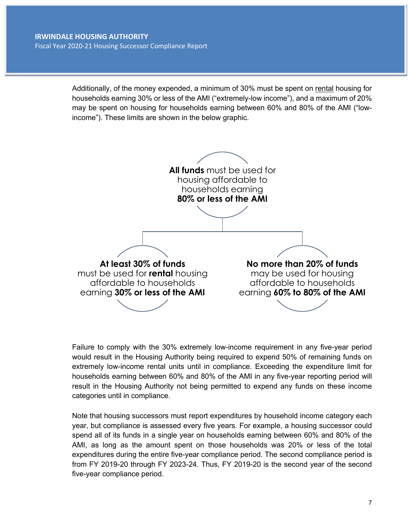Additionally, of the money expended, a minimum of 30% must be spent on rental housing for households earning 30% or less of the AMI ("extremely-low income"), and a maximum of 20% may be spent on housing for households earning between 60% and 80% of the AMI ("lowincome"). These limits are shown in the below graphic.



Failure to comply with the 30% extremely low-income requirement in any five-year period would result in the Housing Authority being required to expend 50% of remaining funds on extremely low-income rental units until in compliance. Exceeding the expenditure limit for households earning between 60% and 80% of the AMI in any five-year reporting period will result in the Housing Authority not being permitted to expend any funds on these income categories until in compliance.

Note that housing successors must report expenditures by household income category each year, but compliance is assessed every five years. For example, a housing successor could spend all of its funds in a single year on households earning between 60% and 80% of the AMI, as long as the amount spent on those households was 20% or less of the total expenditures during the entire five-year compliance period. The second compliance period is from FY 2019-20 through FY 2023-24. Thus, FY 2019-20 is the second year of the second five-year compliance period.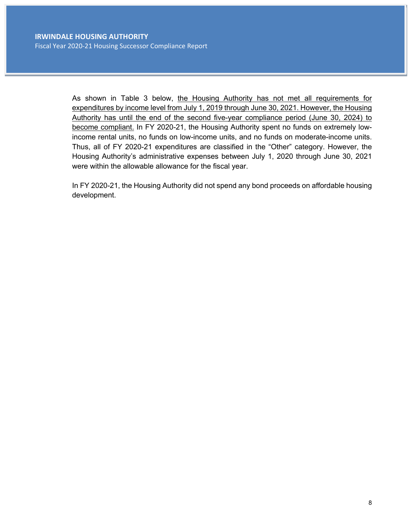As shown in Table 3 below, the Housing Authority has not met all requirements for expenditures by income level from July 1, 2019 through June 30, 2021. However, the Housing Authority has until the end of the second five-year compliance period (June 30, 2024) to become compliant. In FY 2020-21, the Housing Authority spent no funds on extremely lowincome rental units, no funds on low-income units, and no funds on moderate-income units. Thus, all of FY 2020-21 expenditures are classified in the "Other" category. However, the Housing Authority's administrative expenses between July 1, 2020 through June 30, 2021 were within the allowable allowance for the fiscal year.

In FY 2020-21, the Housing Authority did not spend any bond proceeds on affordable housing development.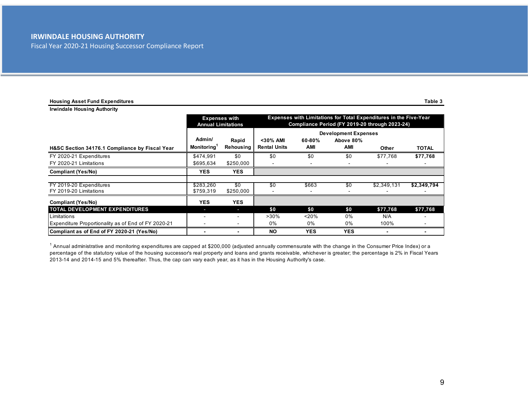Fiscal Year 2020-21 Housing Successor Compliance Report

| <b>Housing Asset Fund Expenditures</b>              |                                   |                                                   |                                                                                                                     |                   |                                                 |             | Table 3     |
|-----------------------------------------------------|-----------------------------------|---------------------------------------------------|---------------------------------------------------------------------------------------------------------------------|-------------------|-------------------------------------------------|-------------|-------------|
| <b>Irwindale Housing Authority</b>                  |                                   |                                                   |                                                                                                                     |                   |                                                 |             |             |
|                                                     |                                   | <b>Expenses with</b><br><b>Annual Limitations</b> | Expenses with Limitations for Total Expenditures in the Five-Year<br>Compliance Period (FY 2019-20 through 2023-24) |                   |                                                 |             |             |
| H&SC Section 34176.1 Compliance by Fiscal Year      | Admin/<br>Monitoring <sup>1</sup> | Rapid<br>Rehousing                                | <30% AMI<br><b>Rental Units</b>                                                                                     | $60 - 80%$<br>AMI | <b>Development Expenses</b><br>Above 80%<br>AMI | Other       | TOTAL       |
| FY 2020-21 Expenditures                             | \$474,991                         | \$0                                               | \$0                                                                                                                 | \$0               | \$0                                             | \$77.768    | \$77,768    |
| FY 2020-21 Limitations                              | \$695,634                         | \$250,000                                         |                                                                                                                     |                   |                                                 |             |             |
| <b>Compliant (Yes/No)</b>                           | <b>YES</b>                        | <b>YES</b>                                        |                                                                                                                     |                   |                                                 |             |             |
| FY 2019-20 Expenditures<br>FY 2019-20 Limitations   | \$283,260<br>\$759,319            | \$0<br>\$250,000                                  | \$0                                                                                                                 | \$663             | \$0                                             | \$2,349,131 | \$2,349,794 |
| <b>Compliant (Yes/No)</b>                           | <b>YES</b>                        | <b>YES</b>                                        |                                                                                                                     |                   |                                                 |             |             |
| <b>TOTAL DEVELOPMENT EXPENDITURES</b>               | T                                 |                                                   | \$0                                                                                                                 | \$0               | \$0                                             | \$77,768    | \$77,768    |
| Limitations                                         |                                   |                                                   | $>30\%$                                                                                                             | 20%               | $0\%$                                           | N/A         |             |
| Expenditure Proportionality as of End of FY 2020-21 |                                   |                                                   | 0%                                                                                                                  | 0%                | 0%                                              | 100%        |             |
| Compliant as of End of FY 2020-21 (Yes/No)          |                                   |                                                   | <b>NO</b>                                                                                                           | <b>YES</b>        | <b>YES</b>                                      |             |             |

 $^1$  Annual administrative and monitoring expenditures are capped at \$200,000 (adjusted annually commensurate with the change in the Consumer Price Index) or a percentage of the statutory value of the housing successor's real property and loans and grants receivable, whichever is greater; the percentage is 2% in Fiscal Years 2013-14 and 2014-15 and 5% thereafter. Thus, the cap can vary each year, as it has in the Housing Authority's case.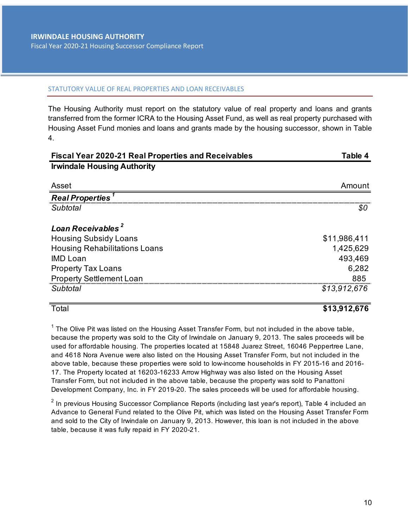### STATUTORY VALUE OF REAL PROPERTIES AND LOAN RECEIVABLES

The Housing Authority must report on the statutory value of real property and loans and grants transferred from the former ICRA to the Housing Asset Fund, as well as real property purchased with Housing Asset Fund monies and loans and grants made by the housing successor, shown in Table 4.

| <b>Fiscal Year 2020-21 Real Properties and Receivables</b> | Table 4      |
|------------------------------------------------------------|--------------|
| <b>Irwindale Housing Authority</b>                         |              |
|                                                            |              |
| Asset                                                      | Amount       |
| <b>Real Properties</b>                                     |              |
| Subtotal                                                   | \$0          |
|                                                            |              |
| Loan Receivables <sup>2</sup>                              |              |
| <b>Housing Subsidy Loans</b>                               | \$11,986,411 |
| <b>Housing Rehabilitations Loans</b>                       | 1,425,629    |
| <b>IMD Loan</b>                                            | 493,469      |
| <b>Property Tax Loans</b>                                  | 6,282        |
| <b>Property Settlement Loan</b>                            | 885          |
| Subtotal                                                   | \$13,912,676 |
|                                                            |              |

# Total **\$13,912,676**

 $1$  The Olive Pit was listed on the Housing Asset Transfer Form, but not included in the above table, because the property was sold to the City of Irwindale on January 9, 2013. The sales proceeds will be used for affordable housing. The properties located at 15848 Juarez Street, 16046 Peppertree Lane, and 4618 Nora Avenue were also listed on the Housing Asset Transfer Form, but not included in the above table, because these properties were sold to low-income households in FY 2015-16 and 2016- 17. The Property located at 16203-16233 Arrow Highway was also listed on the Housing Asset Transfer Form, but not included in the above table, because the property was sold to Panattoni Development Company, Inc. in FY 2019-20. The sales proceeds will be used for affordable housing.

 $^2$  In previous Housing Successor Compliance Reports (including last year's report), Table 4 included an Advance to General Fund related to the Olive Pit, which was listed on the Housing Asset Transfer Form and sold to the City of Irwindale on January 9, 2013. However, this loan is not included in the above table, because it was fully repaid in FY 2020-21.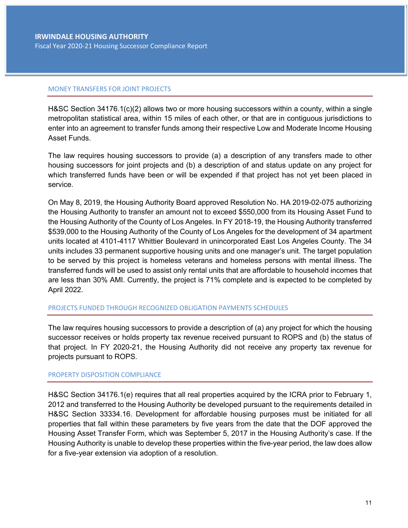### MONEY TRANSFERS FOR JOINT PROJECTS

H&SC Section 34176.1(c)(2) allows two or more housing successors within a county, within a single metropolitan statistical area, within 15 miles of each other, or that are in contiguous jurisdictions to enter into an agreement to transfer funds among their respective Low and Moderate Income Housing Asset Funds.

The law requires housing successors to provide (a) a description of any transfers made to other housing successors for joint projects and (b) a description of and status update on any project for which transferred funds have been or will be expended if that project has not yet been placed in service.

On May 8, 2019, the Housing Authority Board approved Resolution No. HA 2019-02-075 authorizing the Housing Authority to transfer an amount not to exceed \$550,000 from its Housing Asset Fund to the Housing Authority of the County of Los Angeles. In FY 2018-19, the Housing Authority transferred \$539,000 to the Housing Authority of the County of Los Angeles for the development of 34 apartment units located at 4101-4117 Whittier Boulevard in unincorporated East Los Angeles County. The 34 units includes 33 permanent supportive housing units and one manager's unit. The target population to be served by this project is homeless veterans and homeless persons with mental illness. The transferred funds will be used to assist only rental units that are affordable to household incomes that are less than 30% AMI. Currently, the project is 71% complete and is expected to be completed by April 2022.

### PROJECTS FUNDED THROUGH RECOGNIZED OBLIGATION PAYMENTS SCHEDULES

The law requires housing successors to provide a description of (a) any project for which the housing successor receives or holds property tax revenue received pursuant to ROPS and (b) the status of that project. In FY 2020-21, the Housing Authority did not receive any property tax revenue for projects pursuant to ROPS.

### PROPERTY DISPOSITION COMPLIANCE

H&SC Section 34176.1(e) requires that all real properties acquired by the ICRA prior to February 1, 2012 and transferred to the Housing Authority be developed pursuant to the requirements detailed in H&SC Section 33334.16. Development for affordable housing purposes must be initiated for all properties that fall within these parameters by five years from the date that the DOF approved the Housing Asset Transfer Form, which was September 5, 2017 in the Housing Authority's case. If the Housing Authority is unable to develop these properties within the five-year period, the law does allow for a five-year extension via adoption of a resolution.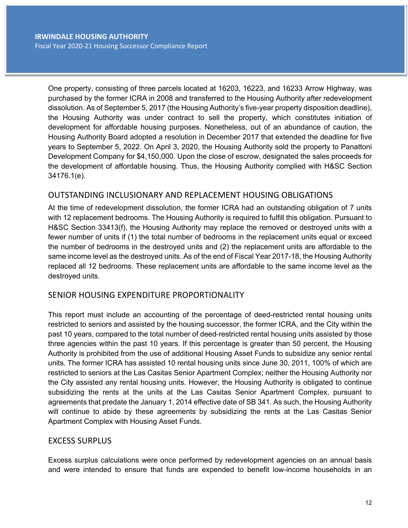One property, consisting of three parcels located at 16203, 16223, and 16233 Arrow Highway, was purchased by the former ICRA in 2008 and transferred to the Housing Authority after redevelopment dissolution. As of September 5, 2017 (the Housing Authority's five-year property disposition deadline), the Housing Authority was under contract to sell the property, which constitutes initiation of development for affordable housing purposes. Nonetheless, out of an abundance of caution, the Housing Authority Board adopted a resolution in December 2017 that extended the deadline for five years to September 5, 2022. On April 3, 2020, the Housing Authority sold the property to Panattoni Development Company for \$4,150,000. Upon the close of escrow, designated the sales proceeds for the development of affordable housing. Thus, the Housing Authority complied with H&SC Section 34176.1(e).

# OUTSTANDING INCLUSIONARY AND REPLACEMENT HOUSING OBLIGATIONS

At the time of redevelopment dissolution, the former ICRA had an outstanding obligation of 7 units with 12 replacement bedrooms. The Housing Authority is required to fulfill this obligation. Pursuant to H&SC Section 33413(f), the Housing Authority may replace the removed or destroyed units with a fewer number of units if (1) the total number of bedrooms in the replacement units equal or exceed the number of bedrooms in the destroyed units and (2) the replacement units are affordable to the same income level as the destroyed units. As of the end of Fiscal Year 2017-18, the Housing Authority replaced all 12 bedrooms. These replacement units are affordable to the same income level as the destroyed units.

# SENIOR HOUSING EXPENDITURE PROPORTIONALITY

This report must include an accounting of the percentage of deed-restricted rental housing units restricted to seniors and assisted by the housing successor, the former ICRA, and the City within the past 10 years, compared to the total number of deed-restricted rental housing units assisted by those three agencies within the past 10 years. If this percentage is greater than 50 percent, the Housing Authority is prohibited from the use of additional Housing Asset Funds to subsidize any senior rental units. The former ICRA has assisted 10 rental housing units since June 30, 2011, 100% of which are restricted to seniors at the Las Casitas Senior Apartment Complex; neither the Housing Authority nor the City assisted any rental housing units. However, the Housing Authority is obligated to continue subsidizing the rents at the units at the Las Casitas Senior Apartment Complex, pursuant to agreements that predate the January 1, 2014 effective date of SB 341. As such, the Housing Authority will continue to abide by these agreements by subsidizing the rents at the Las Casitas Senior Apartment Complex with Housing Asset Funds.

# EXCESS SURPLUS

Excess surplus calculations were once performed by redevelopment agencies on an annual basis and were intended to ensure that funds are expended to benefit low-income households in an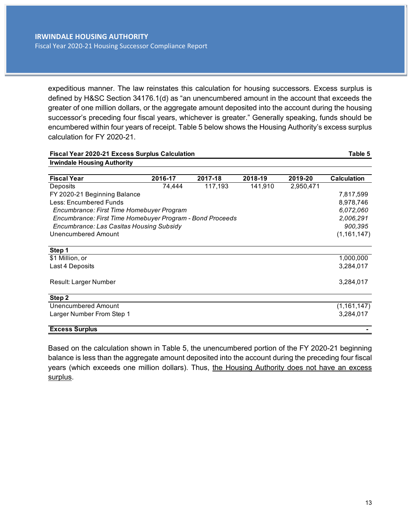expeditious manner. The law reinstates this calculation for housing successors. Excess surplus is defined by H&SC Section 34176.1(d) as "an unencumbered amount in the account that exceeds the greater of one million dollars, or the aggregate amount deposited into the account during the housing successor's preceding four fiscal years, whichever is greater." Generally speaking, funds should be encumbered within four years of receipt. Table 5 below shows the Housing Authority's excess surplus calculation for FY 2020-21.

| <b>Fiscal Year 2020-21 Excess Surplus Calculation</b>     |         |         |         |           | Table 5            |
|-----------------------------------------------------------|---------|---------|---------|-----------|--------------------|
| <b>Irwindale Housing Authority</b>                        |         |         |         |           |                    |
| <b>Fiscal Year</b>                                        | 2016-17 | 2017-18 | 2018-19 | 2019-20   | <b>Calculation</b> |
| Deposits                                                  | 74,444  | 117,193 | 141,910 | 2,950,471 |                    |
| FY 2020-21 Beginning Balance                              |         |         |         |           | 7,817,599          |
| Less: Encumbered Funds                                    |         |         |         |           | 8,978,746          |
| Encumbrance: First Time Homebuyer Program                 |         |         |         |           | 6,072,060          |
| Encumbrance: First Time Homebuyer Program - Bond Proceeds |         |         |         |           | 2,006,291          |
| Encumbrance: Las Casitas Housing Subsidy                  |         |         |         |           | 900,395            |
| Unencumbered Amount                                       |         |         |         |           | (1, 161, 147)      |
| Step 1                                                    |         |         |         |           |                    |
| \$1 Million, or                                           |         |         |         |           | 1,000,000          |
| Last 4 Deposits                                           |         |         |         |           | 3,284,017          |
| Result: Larger Number                                     |         |         |         |           | 3,284,017          |
| Step 2                                                    |         |         |         |           |                    |
| Unencumbered Amount                                       |         |         |         |           | (1, 161, 147)      |
| Larger Number From Step 1                                 |         |         |         |           | 3,284,017          |
| <b>Excess Surplus</b>                                     |         |         |         |           |                    |

Based on the calculation shown in Table 5, the unencumbered portion of the FY 2020-21 beginning balance is less than the aggregate amount deposited into the account during the preceding four fiscal years (which exceeds one million dollars). Thus, the Housing Authority does not have an excess surplus.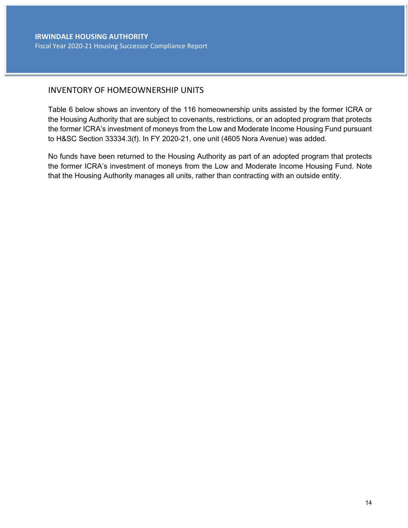# INVENTORY OF HOMEOWNERSHIP UNITS

Table 6 below shows an inventory of the 116 homeownership units assisted by the former ICRA or the Housing Authority that are subject to covenants, restrictions, or an adopted program that protects the former ICRA's investment of moneys from the Low and Moderate Income Housing Fund pursuant to H&SC Section 33334.3(f). In FY 2020-21, one unit (4605 Nora Avenue) was added.

No funds have been returned to the Housing Authority as part of an adopted program that protects the former ICRA's investment of moneys from the Low and Moderate Income Housing Fund. Note that the Housing Authority manages all units, rather than contracting with an outside entity.